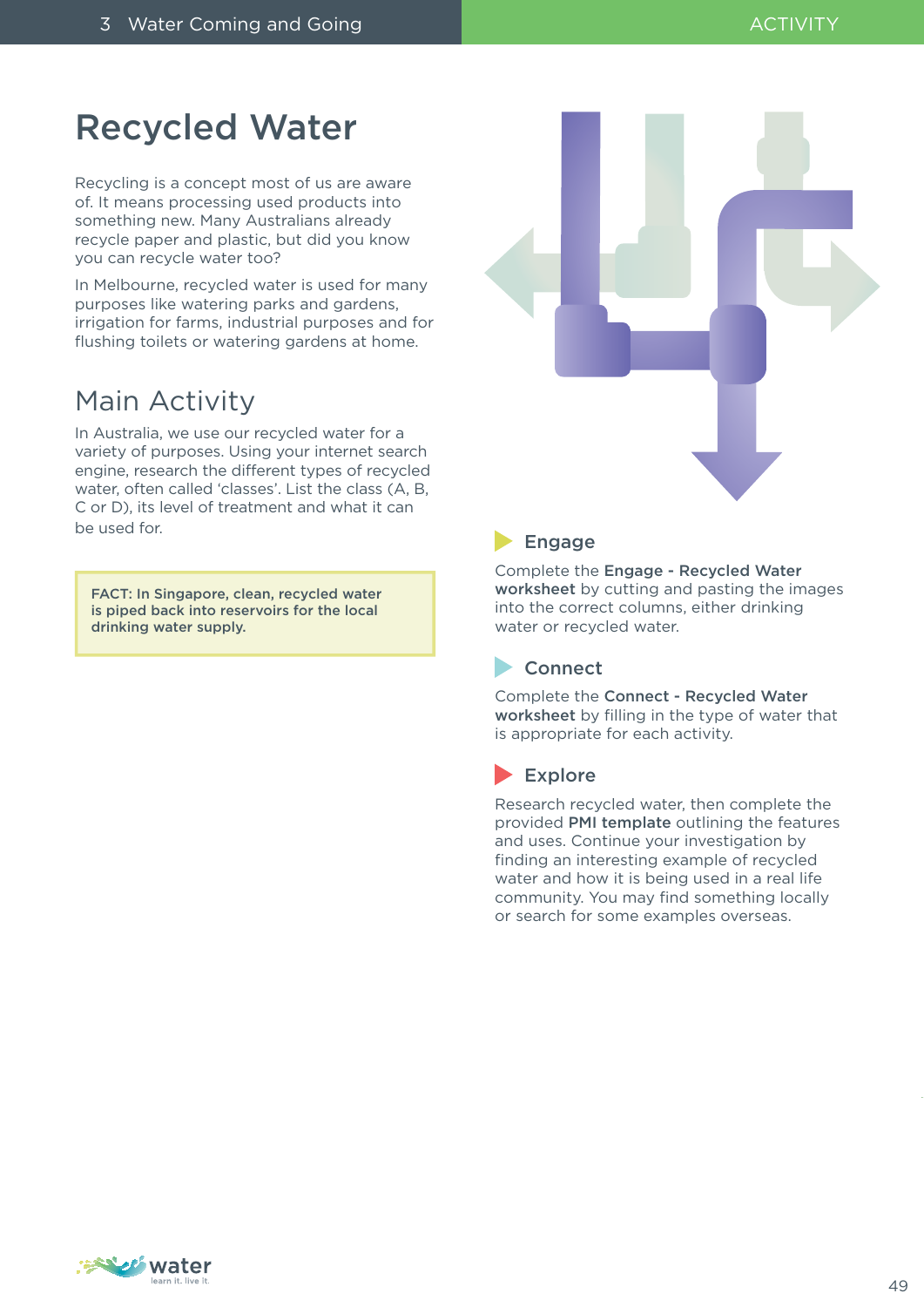### Recycled Water

Recycling is a concept most of us are aware of. It means processing used products into something new. Many Australians already recycle paper and plastic, but did you know you can recycle water too?

In Melbourne, recycled water is used for many purposes like watering parks and gardens, irrigation for farms, industrial purposes and for flushing toilets or watering gardens at home.

### Main Activity

In Australia, we use our recycled water for a variety of purposes. Using your internet search engine, research the different types of recycled water, often called 'classes'. List the class (A, B, C or D), its level of treatment and what it can be used for.

FACT: In Singapore, clean, recycled water is piped back into reservoirs for the local drinking water supply.



#### **Engage**

Complete the Engage - Recycled Water worksheet by cutting and pasting the images into the correct columns, either drinking water or recycled water.

#### **Connect**

Complete the Connect - Recycled Water worksheet by filling in the type of water that is appropriate for each activity.

#### Explore

Research recycled water, then complete the provided PMI template outlining the features and uses. Continue your investigation by finding an interesting example of recycled water and how it is being used in a real life community. You may find something locally or search for some examples overseas.

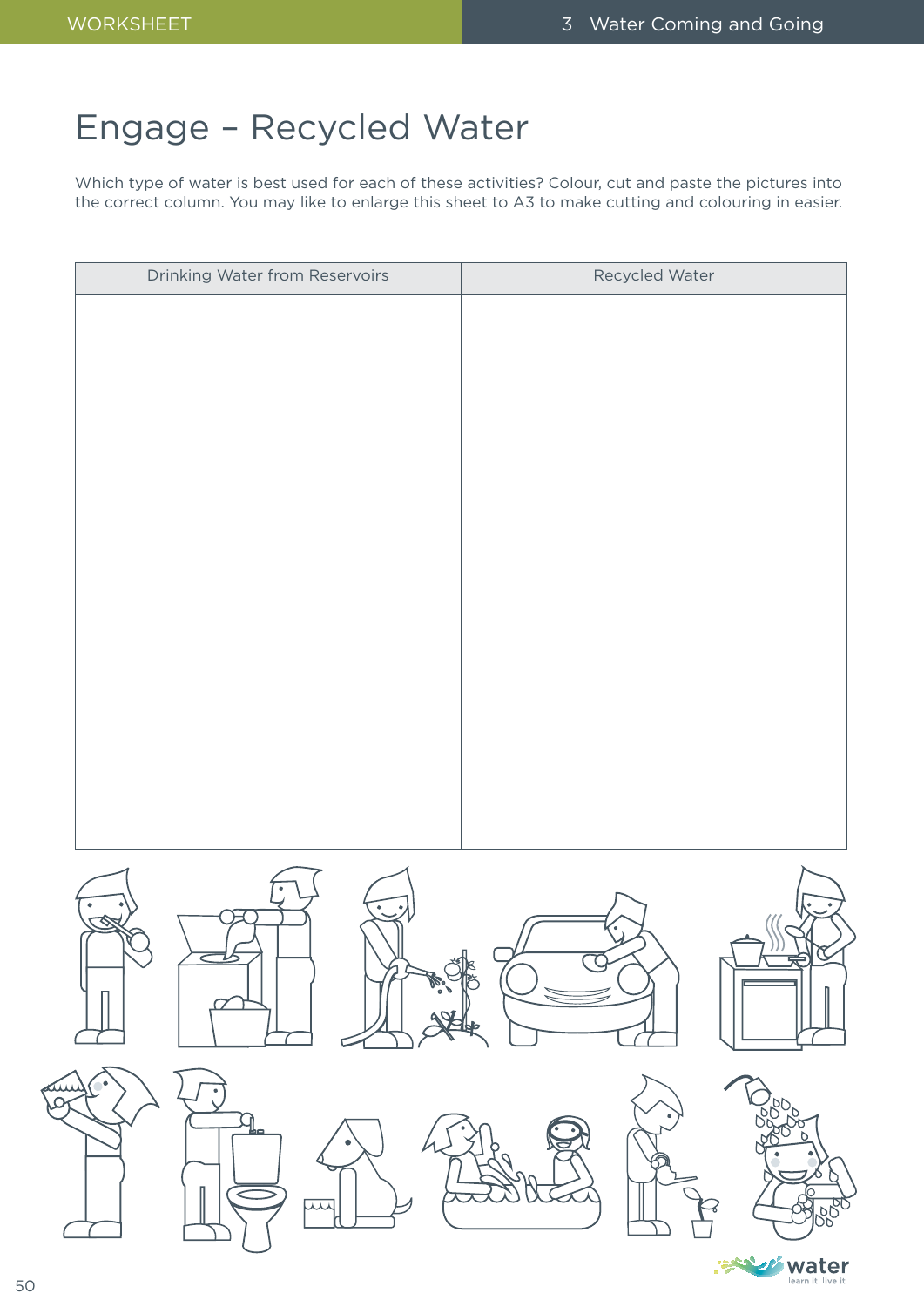# Engage – Recycled Water

Which type of water is best used for each of these activities? Colour, cut and paste the pictures into the correct column. You may like to enlarge this sheet to A3 to make cutting and colouring in easier.

| Drinking Water from Reservoirs   | Recycled Water                                               |
|----------------------------------|--------------------------------------------------------------|
|                                  |                                                              |
|                                  |                                                              |
|                                  |                                                              |
|                                  |                                                              |
|                                  |                                                              |
|                                  |                                                              |
|                                  |                                                              |
|                                  |                                                              |
|                                  |                                                              |
|                                  |                                                              |
|                                  |                                                              |
|                                  |                                                              |
|                                  |                                                              |
|                                  |                                                              |
| $\searrow$<br>$\rightleftarrows$ | 判<br>$\overline{\alpha}$                                     |
| $\mathscr{W}^{\circ}$            | S                                                            |
| $\Delta\%$                       |                                                              |
| $\bullet$<br>سكم<br>۰<br>ص       |                                                              |
| IJ                               | Jobo<br>Jobo<br>$\bullet$<br>PO.<br>$\overline{Q}$<br>ਭ<br>Q |
| П                                | $\bullet$<br>٠<br>$\mathcal{Q}$<br>ſ<br>Ω<br>◐               |
| ست                               | <b>SP</b><br>10000<br>ィ                                      |
|                                  | Water                                                        |

50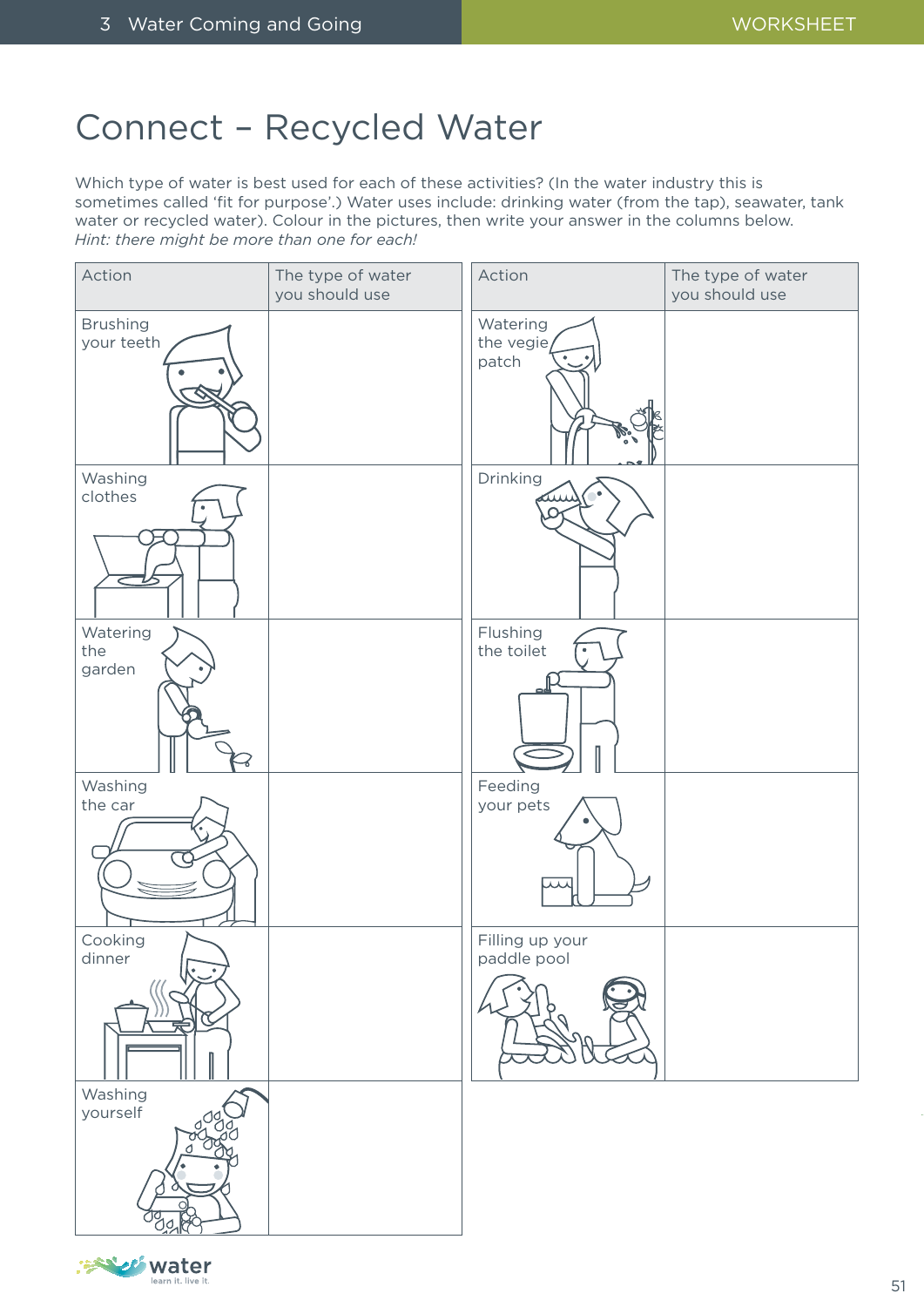## Connect – Recycled Water

Which type of water is best used for each of these activities? (In the water industry this is sometimes called 'fit for purpose'.) Water uses include: drinking water (from the tap), seawater, tank water or recycled water). Colour in the pictures, then write your answer in the columns below. *Hint: there might be more than one for each!*